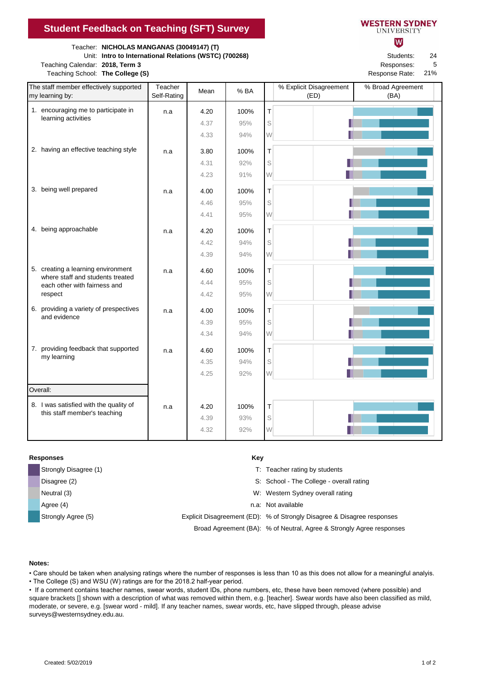Teacher: **NICHOLAS MANGANAS (30049147) (T)**

Unit: **Intro to International Relations (WSTC) (700268)** Students:

Teaching Calendar: 2018, Term 3 **Responses: Responses: Responses: Responses: Responses: Responses: Responses: Responses: Responses: Responses: Responses: Responses: Responses: Responses: Respons** Teaching School: The College (S) **Response Rate: Response Rate: Response Rate: Response Rate: Response Rate: Response Rate: Response Rate: Response Rate: Response Rate: Response Rate: Response Rate: R** 

| <b>VESTERN SYDNEY</b> |  |
|-----------------------|--|
| UNIVERSITY            |  |

lW

24 5

21%

| The staff member effectively supported<br>my learning by:              | Teacher<br>Self-Rating | Mean         | % BA       |        | % Explicit Disagreement<br>(ED) | % Broad Agreement<br>(BA) |
|------------------------------------------------------------------------|------------------------|--------------|------------|--------|---------------------------------|---------------------------|
| 1. encouraging me to participate in                                    | n.a                    | 4.20         | 100%       | T      |                                 |                           |
| learning activities                                                    |                        | 4.37         | 95%        | S      |                                 |                           |
|                                                                        |                        | 4.33         | 94%        | W      |                                 |                           |
| 2. having an effective teaching style                                  | n.a                    | 3.80         | 100%       | Т      |                                 |                           |
|                                                                        |                        | 4.31         | 92%        | S      |                                 |                           |
|                                                                        |                        | 4.23         | 91%        | W      |                                 |                           |
| 3. being well prepared                                                 |                        | 4.00         | 100%       | Т      |                                 |                           |
|                                                                        | n.a                    | 4.46         | 95%        | S      |                                 |                           |
|                                                                        |                        | 4.41         | 95%        | W      |                                 |                           |
|                                                                        |                        |              |            |        |                                 |                           |
| 4. being approachable                                                  | n.a                    | 4.20         | 100%       | T      |                                 |                           |
|                                                                        |                        | 4.42<br>4.39 | 94%<br>94% | S<br>W |                                 |                           |
|                                                                        |                        |              |            |        |                                 |                           |
| 5. creating a learning environment<br>where staff and students treated | n.a                    | 4.60         | 100%       | T      |                                 |                           |
| each other with fairness and                                           |                        | 4.44         | 95%        | S      |                                 |                           |
| respect                                                                |                        | 4.42         | 95%        | W      |                                 |                           |
| 6. providing a variety of prespectives<br>and evidence                 | n.a                    | 4.00         | 100%       | T      |                                 |                           |
|                                                                        |                        | 4.39         | 95%        | S      |                                 |                           |
|                                                                        |                        | 4.34         | 94%        | W      |                                 |                           |
| 7. providing feedback that supported                                   | n.a                    | 4.60         | 100%       | T      |                                 |                           |
| my learning                                                            |                        | 4.35         | 94%        | S      |                                 |                           |
|                                                                        |                        | 4.25         | 92%        | W      |                                 |                           |
| Overall:                                                               |                        |              |            |        |                                 |                           |
| 8. I was satisfied with the quality of<br>this staff member's teaching | n.a                    | 4.20         | 100%       | Т      |                                 |                           |
|                                                                        |                        | 4.39         | 93%        | S      |                                 |                           |
|                                                                        |                        | 4.32         | 92%        | W      |                                 |                           |

## **Responses Key**

| Strongly Disagree (1) | T: Teacher rating by students                                           |
|-----------------------|-------------------------------------------------------------------------|
| Disagree (2)          | S: School - The College - overall rating                                |
| Neutral (3)           | W: Western Sydney overall rating                                        |
| Agree (4)             | n.a: Not available                                                      |
| Strongly Agree (5)    | Explicit Disagreement (ED): % of Strongly Disagree & Disagree responses |
|                       | Broad Agreement (BA): % of Neutral, Agree & Strongly Agree responses    |

## **Notes:**

• Care should be taken when analysing ratings where the number of responses is less than 10 as this does not allow for a meaningful analyis. • The College (S) and WSU (W) ratings are for the 2018.2 half-year period.

• If a comment contains teacher names, swear words, student IDs, phone numbers, etc, these have been removed (where possible) and square brackets [] shown with a description of what was removed within them, e.g. [teacher]. Swear words have also been classified as mild,

moderate, or severe, e.g. [swear word - mild]. If any teacher names, swear words, etc, have slipped through, please advise surveys@westernsydney.edu.au.